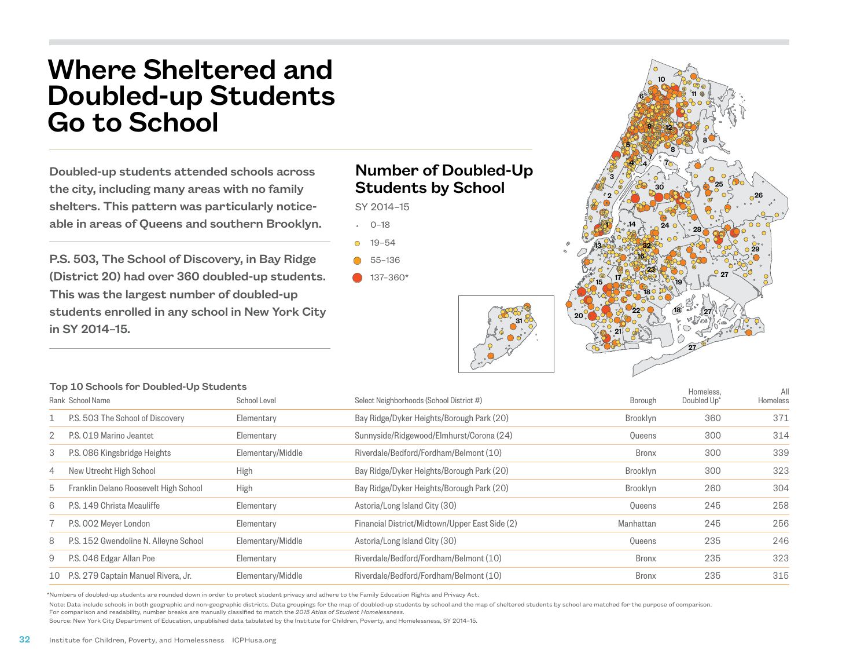## Where Sheltered and Doubled-up Students Go to School

Doubled-up students attended schools across the city, including many areas with no family shelters. This pattern was particularly noticeable in areas of Queens and southern Brooklyn.

P.S. 503, The School of Discovery, in Bay Ridge (District 20) had over 360 doubled-up students. This was the largest number of doubled-up students enrolled in any school in New York City in SY 2014–15.

## Number of Doubled-Up Students by School

SY 2014–15

 $-0-18$ 

- 19–54
- 55–136
- $137 360*$



|                  | Top 10 Schools for Doubled-Up Students |                   |                                                |              | Homeless.   | All      |
|------------------|----------------------------------------|-------------------|------------------------------------------------|--------------|-------------|----------|
| Rank School Name |                                        | School Level      | Select Neighborhoods (School District #)       | Borough      | Doubled Up* | Homeless |
|                  | P.S. 503 The School of Discovery       | Elementary        | Bay Ridge/Dyker Heights/Borough Park (20)      | Brooklyn     | 360         | 371      |
|                  | P.S. 019 Marino Jeantet                | Elementary        | Sunnyside/Ridgewood/Elmhurst/Corona (24)       | Queens       | 300         | 314      |
| 3                | P.S. 086 Kingsbridge Heights           | Elementary/Middle | Riverdale/Bedford/Fordham/Belmont (10)         | <b>Bronx</b> | 300         | 339      |
| 4                | New Utrecht High School                | <b>High</b>       | Bay Ridge/Dyker Heights/Borough Park (20)      | Brooklyn     | 300         | 323      |
| 5                | Franklin Delano Roosevelt High School  | <b>High</b>       | Bay Ridge/Dyker Heights/Borough Park (20)      | Brooklyn     | 260         | 304      |
| 6                | P.S. 149 Christa Moauliffe             | Elementary        | Astoria/Long Island City (30)                  | Queens       | 245         | 258      |
|                  | P.S. 002 Meyer London                  | Elementary        | Financial District/Midtown/Upper East Side (2) | Manhattan    | 245         | 256      |
| 8                | P.S. 152 Gwendoline N. Alleyne School  | Elementary/Middle | Astoria/Long Island City (30)                  | Oueens       | 235         | 246      |
| 9                | P.S. 046 Edgar Allan Poe               | Elementary        | Riverdale/Bedford/Fordham/Belmont (10)         | <b>Bronx</b> | 235         | 323      |
|                  | 10 P.S. 279 Captain Manuel Rivera, Jr. | Elementary/Middle | Riverdale/Bedford/Fordham/Belmont (10)         | <b>Bronx</b> | 235         | 315      |

\*Numbers of doubled-up students are rounded down in order to protect student privacy and adhere to the Family Education Rights and Privacy Act.

Note: Data include schools in both geographic and non-geographic districts. Data groupings for the map of doubled-up students by school and the map of sheltered students by school are matched for the purpose of comparison.

For comparison and readability, number breaks are manually classified to match the *2015 Atlas of Student Homelessness*.

Source: New York City Department of Education, unpublished data tabulated by the Institute for Children, Poverty, and Homelessness, SY 2014–15.